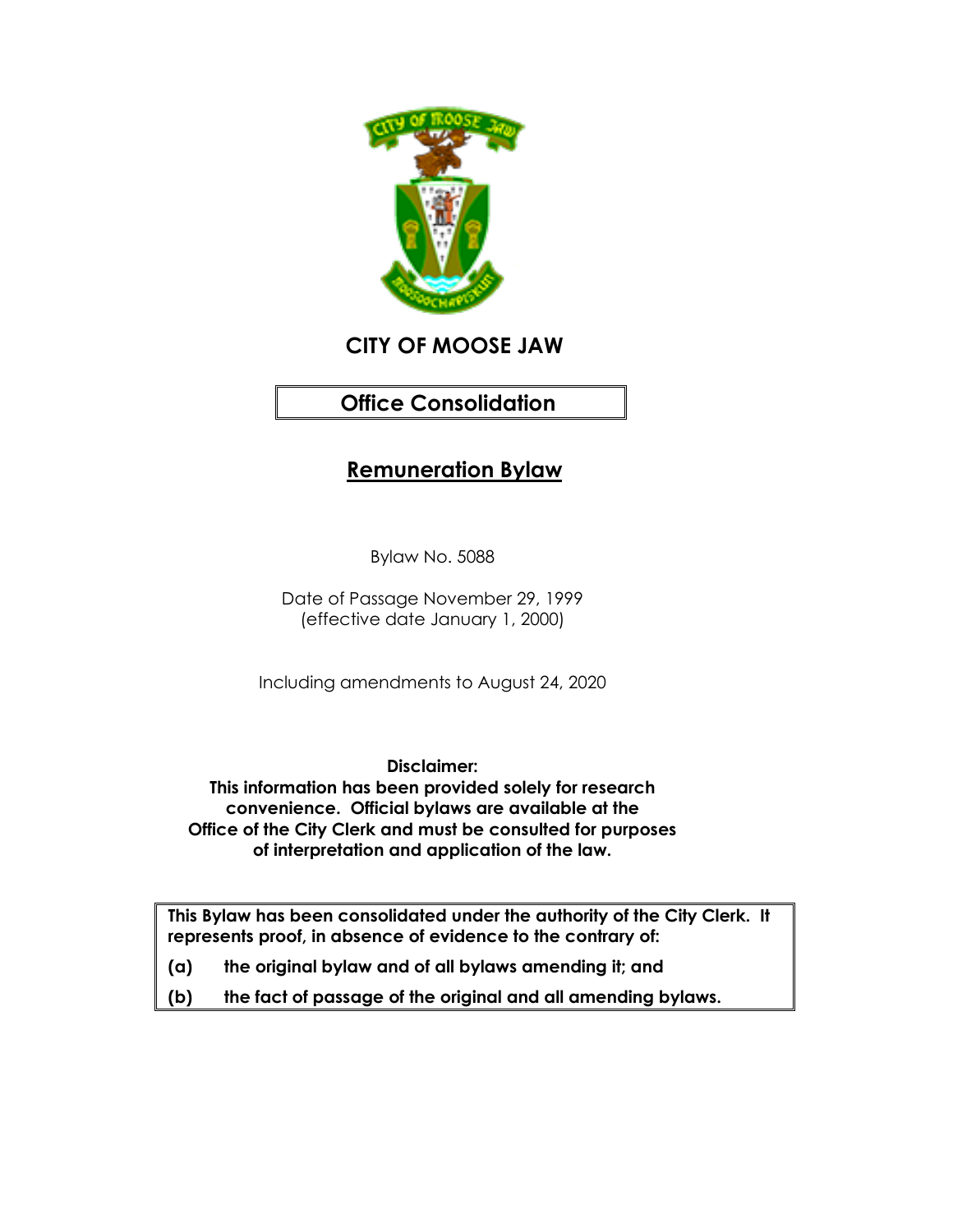

# **CITY OF MOOSE JAW**

# **Office Consolidation**

## **Remuneration Bylaw**

Bylaw No. 5088

Date of Passage November 29, 1999 (effective date January 1, 2000)

Including amendments to August 24, 2020

**Disclaimer: This information has been provided solely for research convenience. Official bylaws are available at the Office of the City Clerk and must be consulted for purposes of interpretation and application of the law.**

**This Bylaw has been consolidated under the authority of the City Clerk. It represents proof, in absence of evidence to the contrary of:** 

- **(a) the original bylaw and of all bylaws amending it; and**
- **(b) the fact of passage of the original and all amending bylaws.**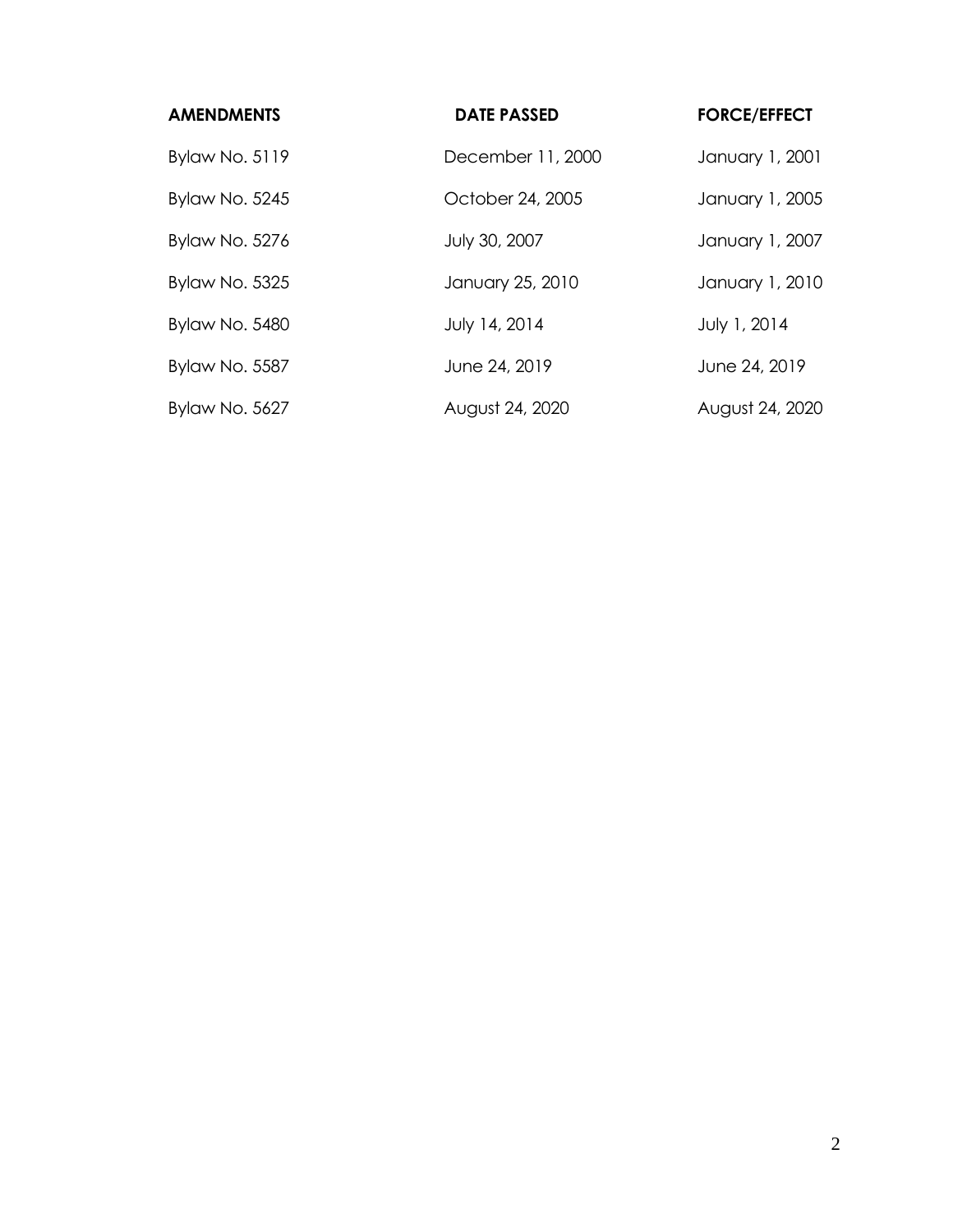| <b>AMENDMENTS</b>     | <b>DATE PASSED</b> | <b>FORCE/EFFECT</b> |
|-----------------------|--------------------|---------------------|
| Bylaw No. 5119        | December 11, 2000  | January 1, 2001     |
| <b>Bylaw No. 5245</b> | October 24, 2005   | January 1, 2005     |
| <b>Bylaw No. 5276</b> | July 30, 2007      | January 1, 2007     |
| <b>Bylaw No. 5325</b> | January 25, 2010   | January 1, 2010     |
| <b>Bylaw No. 5480</b> | July 14, 2014      | July 1, 2014        |
| Bylaw No. 5587        | June 24, 2019      | June 24, 2019       |
| Bylaw No. 5627        | August 24, 2020    | August 24, 2020     |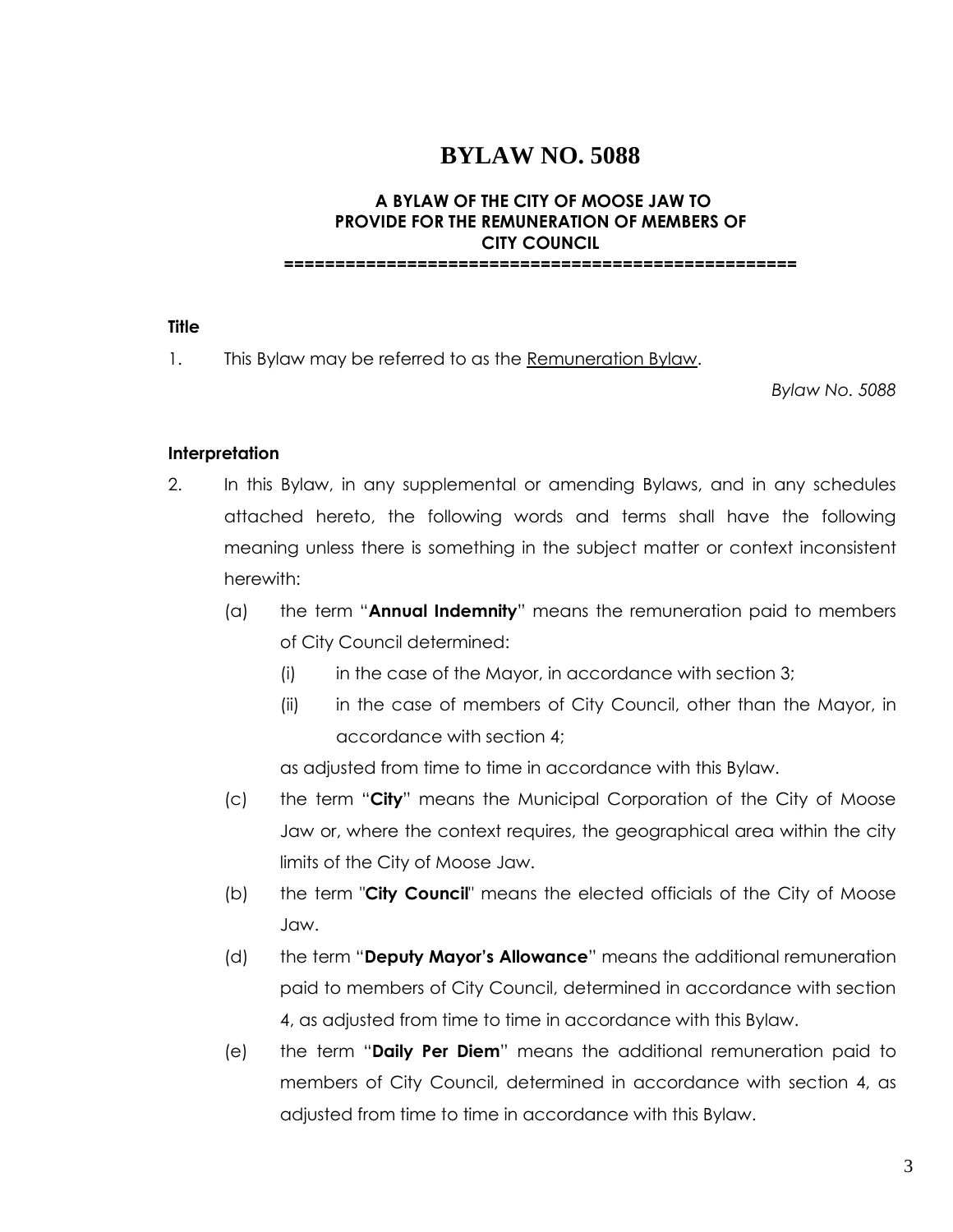## **BYLAW NO. 5088**

## **A BYLAW OF THE CITY OF MOOSE JAW TO PROVIDE FOR THE REMUNERATION OF MEMBERS OF CITY COUNCIL**

**==================================================**

#### **Title**

1. This Bylaw may be referred to as the Remuneration Bylaw.

*Bylaw No. 5088*

### **Interpretation**

- 2. In this Bylaw, in any supplemental or amending Bylaws, and in any schedules attached hereto, the following words and terms shall have the following meaning unless there is something in the subject matter or context inconsistent herewith:
	- (a) the term "**Annual Indemnity**" means the remuneration paid to members of City Council determined:
		- $(i)$  in the case of the Mayor, in accordance with section 3;
		- (ii) in the case of members of City Council, other than the Mayor, in accordance with section 4;

as adjusted from time to time in accordance with this Bylaw.

- (c) the term "**City**" means the Municipal Corporation of the City of Moose Jaw or, where the context requires, the geographical area within the city limits of the City of Moose Jaw.
- (b) the term "**City Council**" means the elected officials of the City of Moose Jaw.
- (d) the term "**Deputy Mayor's Allowance**" means the additional remuneration paid to members of City Council, determined in accordance with section 4, as adjusted from time to time in accordance with this Bylaw.
- (e) the term "**Daily Per Diem**" means the additional remuneration paid to members of City Council, determined in accordance with section 4, as adjusted from time to time in accordance with this Bylaw.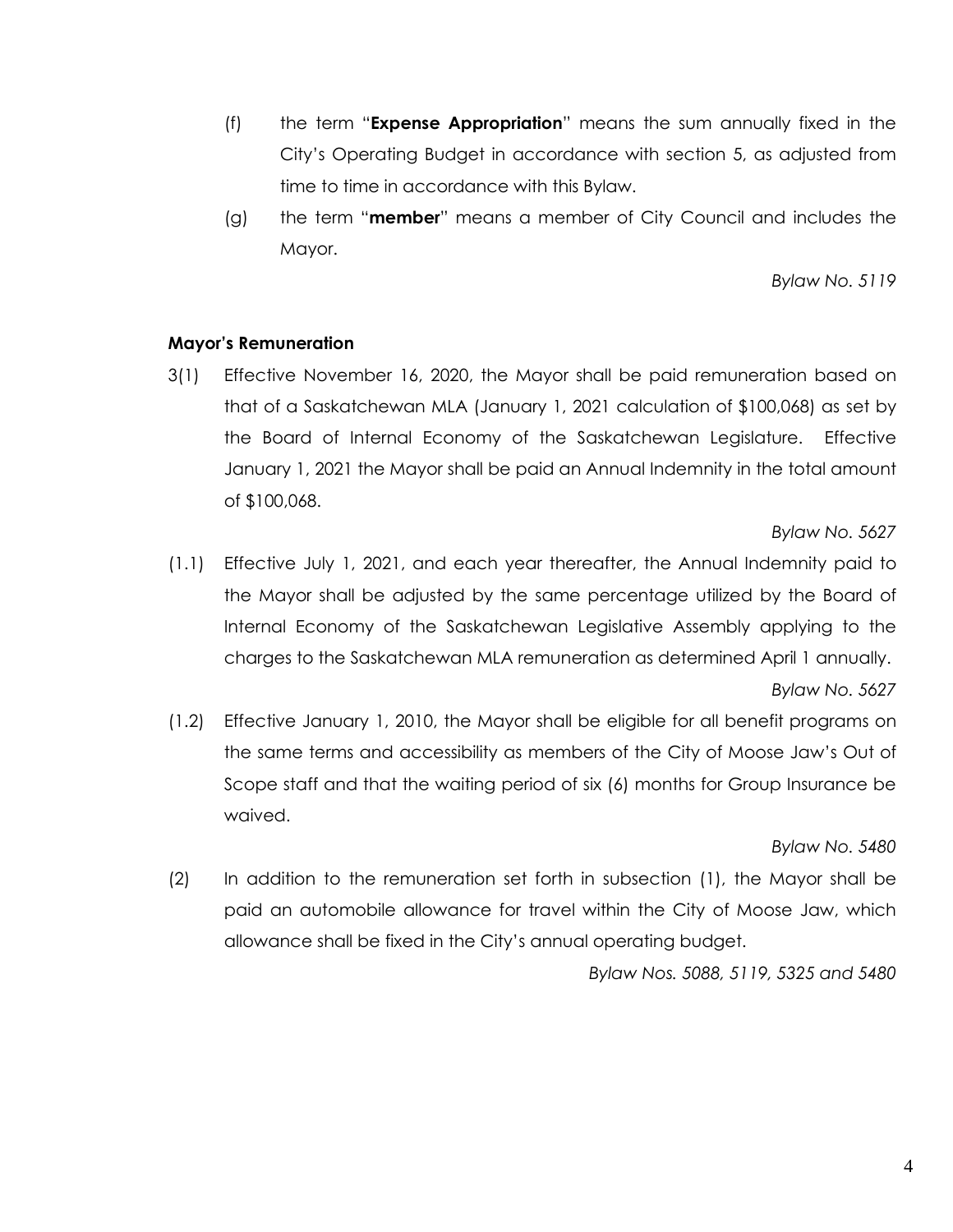- (f) the term "**Expense Appropriation**" means the sum annually fixed in the City's Operating Budget in accordance with section 5, as adjusted from time to time in accordance with this Bylaw.
- (g) the term "**member**" means a member of City Council and includes the Mayor.

*Bylaw No. 5119*

#### **Mayor's Remuneration**

3(1) Effective November 16, 2020, the Mayor shall be paid remuneration based on that of a Saskatchewan MLA (January 1, 2021 calculation of \$100,068) as set by the Board of Internal Economy of the Saskatchewan Legislature. Effective January 1, 2021 the Mayor shall be paid an Annual Indemnity in the total amount of \$100,068.

#### *Bylaw No. 5627*

- (1.1) Effective July 1, 2021, and each year thereafter, the Annual Indemnity paid to the Mayor shall be adjusted by the same percentage utilized by the Board of Internal Economy of the Saskatchewan Legislative Assembly applying to the charges to the Saskatchewan MLA remuneration as determined April 1 annually. *Bylaw No. 5627*
- (1.2) Effective January 1, 2010, the Mayor shall be eligible for all benefit programs on the same terms and accessibility as members of the City of Moose Jaw's Out of Scope staff and that the waiting period of six (6) months for Group Insurance be waived.

## *Bylaw No. 5480*

(2) In addition to the remuneration set forth in subsection (1), the Mayor shall be paid an automobile allowance for travel within the City of Moose Jaw, which allowance shall be fixed in the City's annual operating budget.

*Bylaw Nos. 5088, 5119, 5325 and 5480*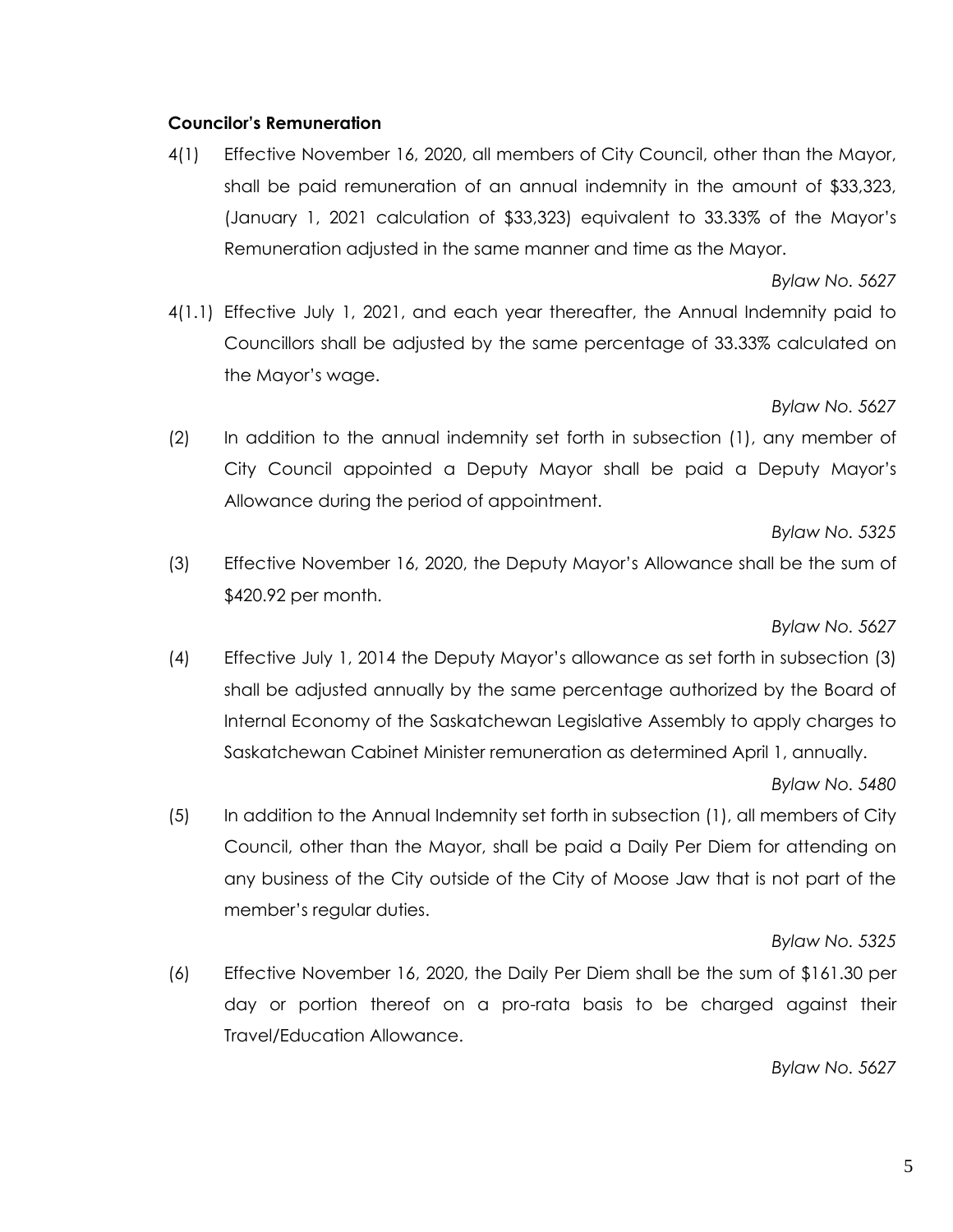## **Councilor's Remuneration**

4(1) Effective November 16, 2020, all members of City Council, other than the Mayor, shall be paid remuneration of an annual indemnity in the amount of \$33,323, (January 1, 2021 calculation of \$33,323) equivalent to 33.33% of the Mayor's Remuneration adjusted in the same manner and time as the Mayor.

*Bylaw No. 5627*

4(1.1) Effective July 1, 2021, and each year thereafter, the Annual Indemnity paid to Councillors shall be adjusted by the same percentage of 33.33% calculated on the Mayor's wage.

#### *Bylaw No. 5627*

(2) In addition to the annual indemnity set forth in subsection (1), any member of City Council appointed a Deputy Mayor shall be paid a Deputy Mayor's Allowance during the period of appointment.

#### *Bylaw No. 5325*

(3) Effective November 16, 2020, the Deputy Mayor's Allowance shall be the sum of \$420.92 per month.

#### *Bylaw No. 5627*

(4) Effective July 1, 2014 the Deputy Mayor's allowance as set forth in subsection (3) shall be adjusted annually by the same percentage authorized by the Board of Internal Economy of the Saskatchewan Legislative Assembly to apply charges to Saskatchewan Cabinet Minister remuneration as determined April 1, annually.

#### *Bylaw No. 5480*

(5) In addition to the Annual Indemnity set forth in subsection (1), all members of City Council, other than the Mayor, shall be paid a Daily Per Diem for attending on any business of the City outside of the City of Moose Jaw that is not part of the member's regular duties.

#### *Bylaw No. 5325*

(6) Effective November 16, 2020, the Daily Per Diem shall be the sum of \$161.30 per day or portion thereof on a pro-rata basis to be charged against their Travel/Education Allowance.

#### *Bylaw No. 5627*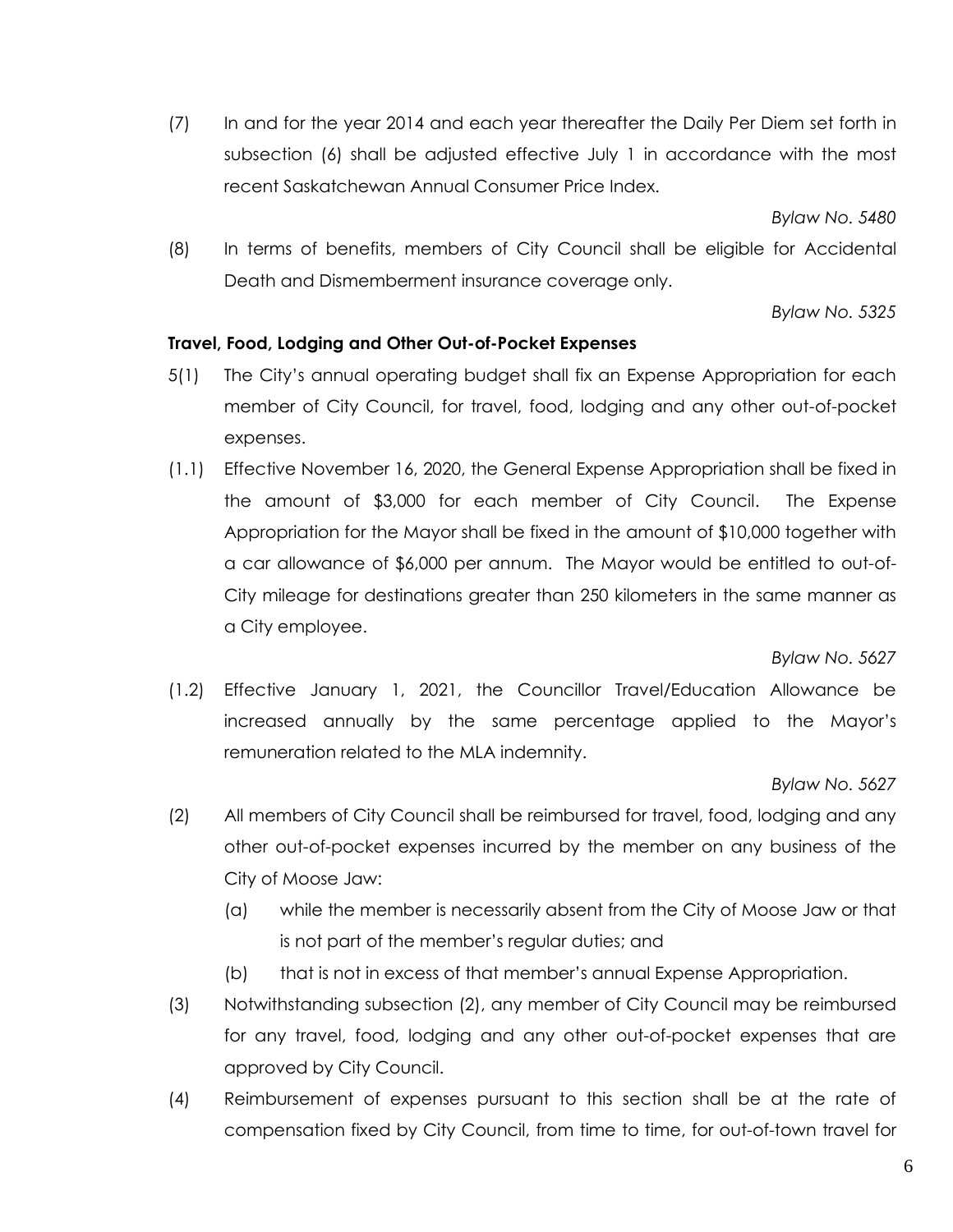(7) In and for the year 2014 and each year thereafter the Daily Per Diem set forth in subsection (6) shall be adjusted effective July 1 in accordance with the most recent Saskatchewan Annual Consumer Price Index.

*Bylaw No. 5480*

(8) In terms of benefits, members of City Council shall be eligible for Accidental Death and Dismemberment insurance coverage only.

*Bylaw No. 5325*

## **Travel, Food, Lodging and Other Out-of-Pocket Expenses**

- 5(1) The City's annual operating budget shall fix an Expense Appropriation for each member of City Council, for travel, food, lodging and any other out-of-pocket expenses.
- (1.1) Effective November 16, 2020, the General Expense Appropriation shall be fixed in the amount of \$3,000 for each member of City Council. The Expense Appropriation for the Mayor shall be fixed in the amount of \$10,000 together with a car allowance of \$6,000 per annum. The Mayor would be entitled to out-of-City mileage for destinations greater than 250 kilometers in the same manner as a City employee.

*Bylaw No. 5627*

(1.2) Effective January 1, 2021, the Councillor Travel/Education Allowance be increased annually by the same percentage applied to the Mayor's remuneration related to the MLA indemnity.

*Bylaw No. 5627*

- (2) All members of City Council shall be reimbursed for travel, food, lodging and any other out-of-pocket expenses incurred by the member on any business of the City of Moose Jaw:
	- (a) while the member is necessarily absent from the City of Moose Jaw or that is not part of the member's regular duties; and
	- (b) that is not in excess of that member's annual Expense Appropriation.
- (3) Notwithstanding subsection (2), any member of City Council may be reimbursed for any travel, food, lodging and any other out-of-pocket expenses that are approved by City Council.
- (4) Reimbursement of expenses pursuant to this section shall be at the rate of compensation fixed by City Council, from time to time, for out-of-town travel for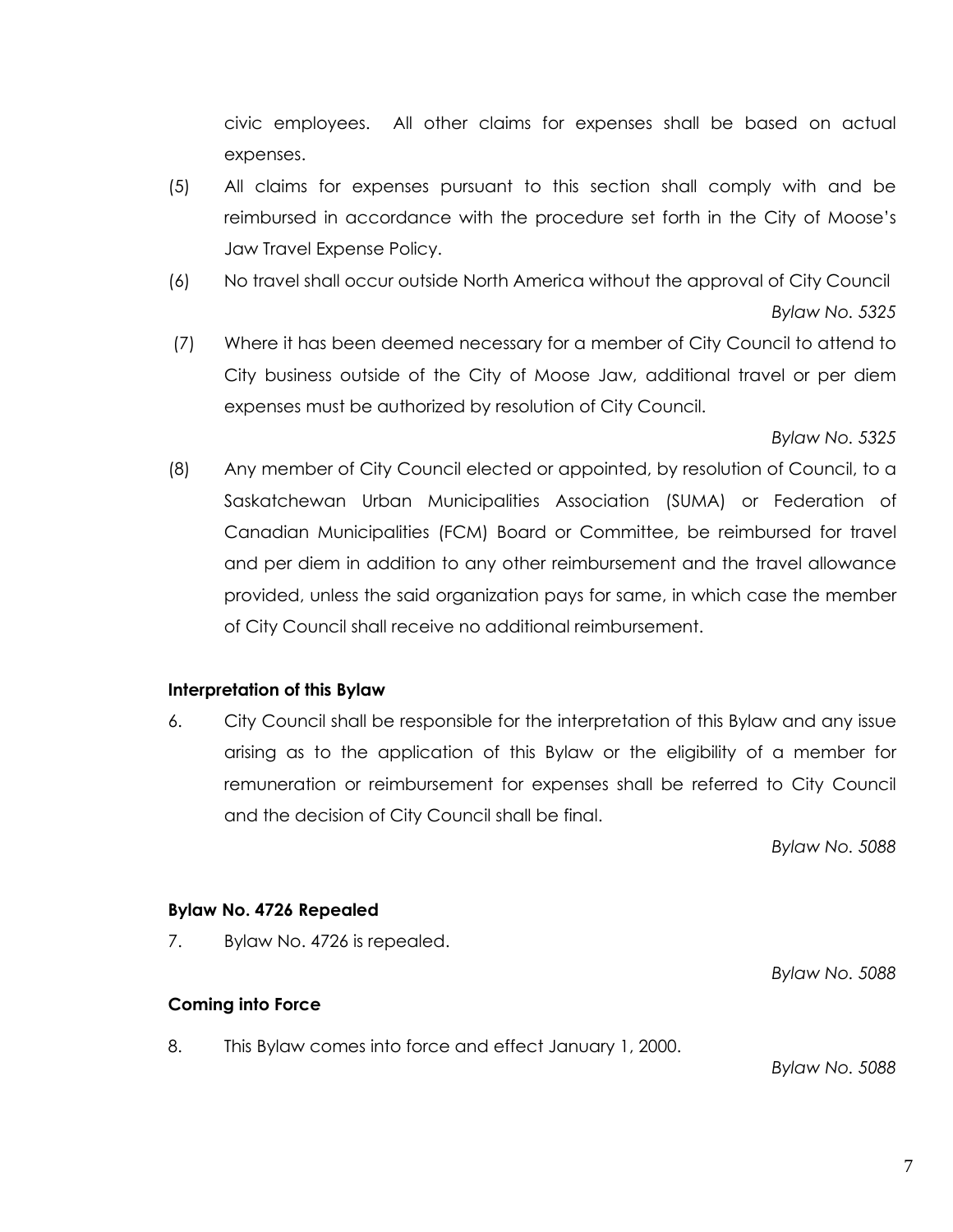civic employees. All other claims for expenses shall be based on actual expenses.

- (5) All claims for expenses pursuant to this section shall comply with and be reimbursed in accordance with the procedure set forth in the City of Moose's Jaw Travel Expense Policy.
- (6) No travel shall occur outside North America without the approval of City Council *Bylaw No. 5325*
- (7) Where it has been deemed necessary for a member of City Council to attend to City business outside of the City of Moose Jaw, additional travel or per diem expenses must be authorized by resolution of City Council.

*Bylaw No. 5325*

(8) Any member of City Council elected or appointed, by resolution of Council, to a Saskatchewan Urban Municipalities Association (SUMA) or Federation of Canadian Municipalities (FCM) Board or Committee, be reimbursed for travel and per diem in addition to any other reimbursement and the travel allowance provided, unless the said organization pays for same, in which case the member of City Council shall receive no additional reimbursement.

## **Interpretation of this Bylaw**

6. City Council shall be responsible for the interpretation of this Bylaw and any issue arising as to the application of this Bylaw or the eligibility of a member for remuneration or reimbursement for expenses shall be referred to City Council and the decision of City Council shall be final.

*Bylaw No. 5088*

## **Bylaw No. 4726 Repealed**

7. Bylaw No. 4726 is repealed.

## **Coming into Force**

8. This Bylaw comes into force and effect January 1, 2000.

*Bylaw No. 5088*

*Bylaw No. 5088*